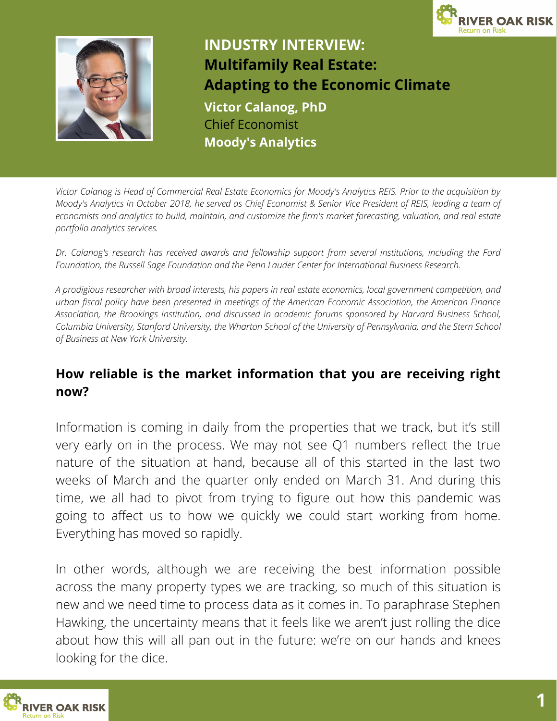



# **INDUSTRY INTERVIEW: Multifamily Real Estate: Adapting to the Economic Climate Victor Calanog, PhD** Chief Economist **Moody's Analytics**

Victor Calanog is Head of Commercial Real Estate Economics for Moody's Analytics REIS. Prior to the acquisition by Moody's Analytics in October 2018, he served as Chief Economist & Senior Vice President of REIS, leading a team of economists and analytics to build, maintain, and customize the firm's market forecasting, valuation, and real estate *portfolio analytics services.*

*Dr. Calanog's research has received awards and fellowship support from several institutions, including the Ford Foundation, the Russell Sage Foundation and the Penn Lauder Center for International Business Research.*

A prodigious researcher with broad interests, his papers in real estate economics, local government competition, and *urban fiscal policy have been presented in meetings of the American Economic Association, the American Finance Association, the Brookings Institution, and discussed in academic forums sponsored by Harvard Business School,* Columbia University, Stanford University, the Wharton School of the University of Pennsylvania, and the Stern School *of Business at New York University.*

### **How reliable is the market information that you are receiving right now?**

Information is coming in daily from the properties that we track, but it's still very early on in the process. We may not see Q1 numbers reflect the true nature of the situation at hand, because all of this started in the last two weeks of March and the quarter only ended on March 31. And during this time, we all had to pivot from trying to figure out how this pandemic was going to affect us to how we quickly we could start working from home. Everything has moved so rapidly.

In other words, although we are receiving the best information possible across the many property types we are tracking, so much of this situation is new and we need time to process data as it comes in. To paraphrase Stephen Hawking, the uncertainty means that it feels like we aren't just rolling the dice about how this will all pan out in the future: we're on our hands and knees looking for the dice.

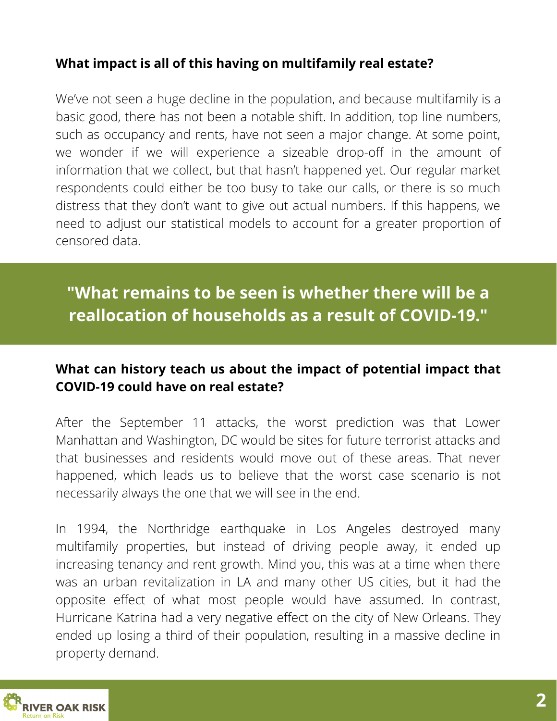# **What impact is all of this having on multifamily real estate?**

We've not seen a huge decline in the population, and because multifamily is a basic good, there has not been a notable shift. In addition, top line numbers, such as occupancy and rents, have not seen a major change. At some point, we wonder if we will experience a sizeable drop-off in the amount of information that we collect, but that hasn't happened yet. Our regular market respondents could either be too busy to take our calls, or there is so much distress that they don't want to give out actual numbers. If this happens, we need to adjust our statistical models to account for a greater proportion of censored data.

# **"What remains to be seen is whether there will be a reallocation of households as a result of COVID-19."**

# **What can history teach us about the impact of potential impact that COVID-19 could have on real estate?**

After the September 11 attacks, the worst prediction was that Lower Manhattan and Washington, DC would be sites for future terrorist attacks and that businesses and residents would move out of these areas. That never happened, which leads us to believe that the worst case scenario is not necessarily always the one that we will see in the end.

In 1994, the Northridge earthquake in Los Angeles destroyed many multifamily properties, but instead of driving people away, it ended up increasing tenancy and rent growth. Mind you, this was at a time when there was an urban revitalization in LA and many other US cities, but it had the opposite effect of what most people would have assumed. In contrast, Hurricane Katrina had a very negative effect on the city of New Orleans. They ended up losing a third of their population, resulting in a massive decline in property demand.

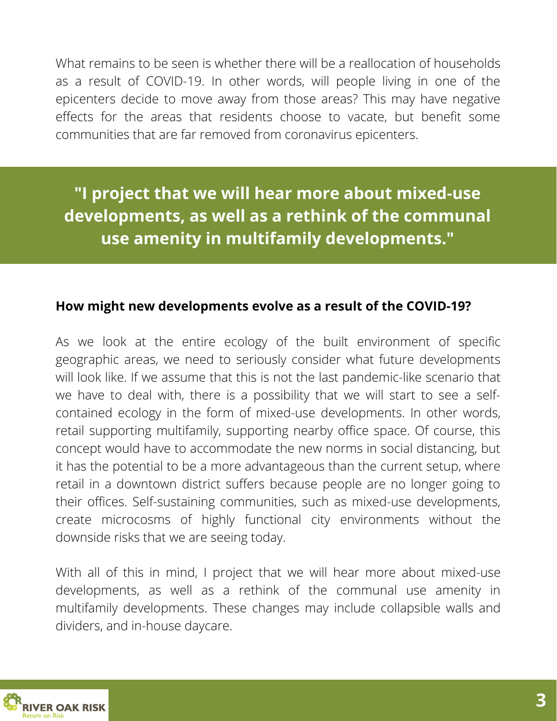What remains to be seen is whether there will be a reallocation of households as a result of COVID-19. In other words, will people living in one of the epicenters decide to move away from those areas? This may have negative effects for the areas that residents choose to vacate, but benefit some communities that are far removed from coronavirus epicenters.

**"I project that we will hear more about mixed-use developments, as well as a rethink of the communal use amenity in multifamily developments."**

#### **How might new developments evolve as a result of the COVID-19?**

As we look at the entire ecology of the built environment of specific geographic areas, we need to seriously consider what future developments will look like. If we assume that this is not the last pandemic-like scenario that we have to deal with, there is a possibility that we will start to see a selfcontained ecology in the form of mixed-use developments. In other words, retail supporting multifamily, supporting nearby office space. Of course, this concept would have to accommodate the new norms in social distancing, but it has the potential to be a more advantageous than the current setup, where retail in a downtown district suffers because people are no longer going to their offices. Self-sustaining communities, such as mixed-use developments, create microcosms of highly functional city environments without the downside risks that we are seeing today.

With all of this in mind, I project that we will hear more about mixed-use developments, as well as a rethink of the communal use amenity in multifamily developments. These changes may include collapsible walls and dividers, and in-house daycare.

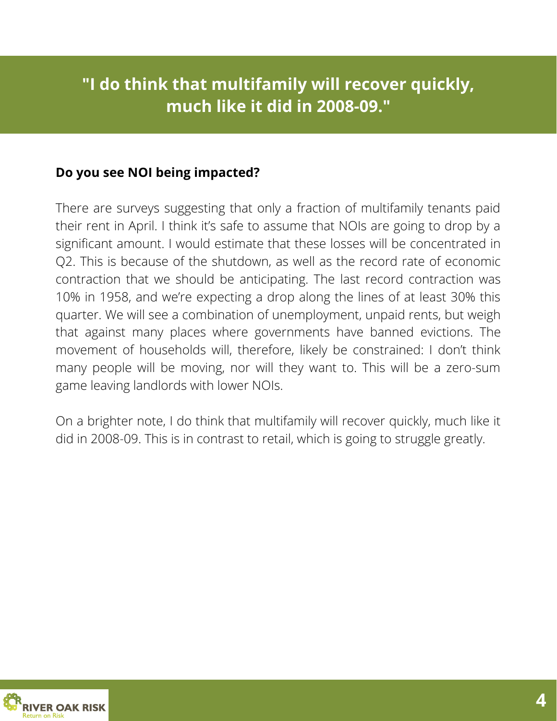# **"I do think that multifamily will recover quickly, much like it did in 2008-09."**

### **Do you see NOI being impacted?**

There are surveys suggesting that only a fraction of multifamily tenants paid their rent in April. I think it's safe to assume that NOIs are going to drop by a significant amount. I would estimate that these losses will be concentrated in Q2. This is because of the shutdown, as well as the record rate of economic contraction that we should be anticipating. The last record contraction was 10% in 1958, and we're expecting a drop along the lines of at least 30% this quarter. We will see a combination of unemployment, unpaid rents, but weigh that against many places where governments have banned evictions. The movement of households will, therefore, likely be constrained: I don't think many people will be moving, nor will they want to. This will be a zero-sum game leaving landlords with lower NOIs.

On a brighter note, I do think that multifamily will recover quickly, much like it did in 2008-09. This is in contrast to retail, which is going to struggle greatly.